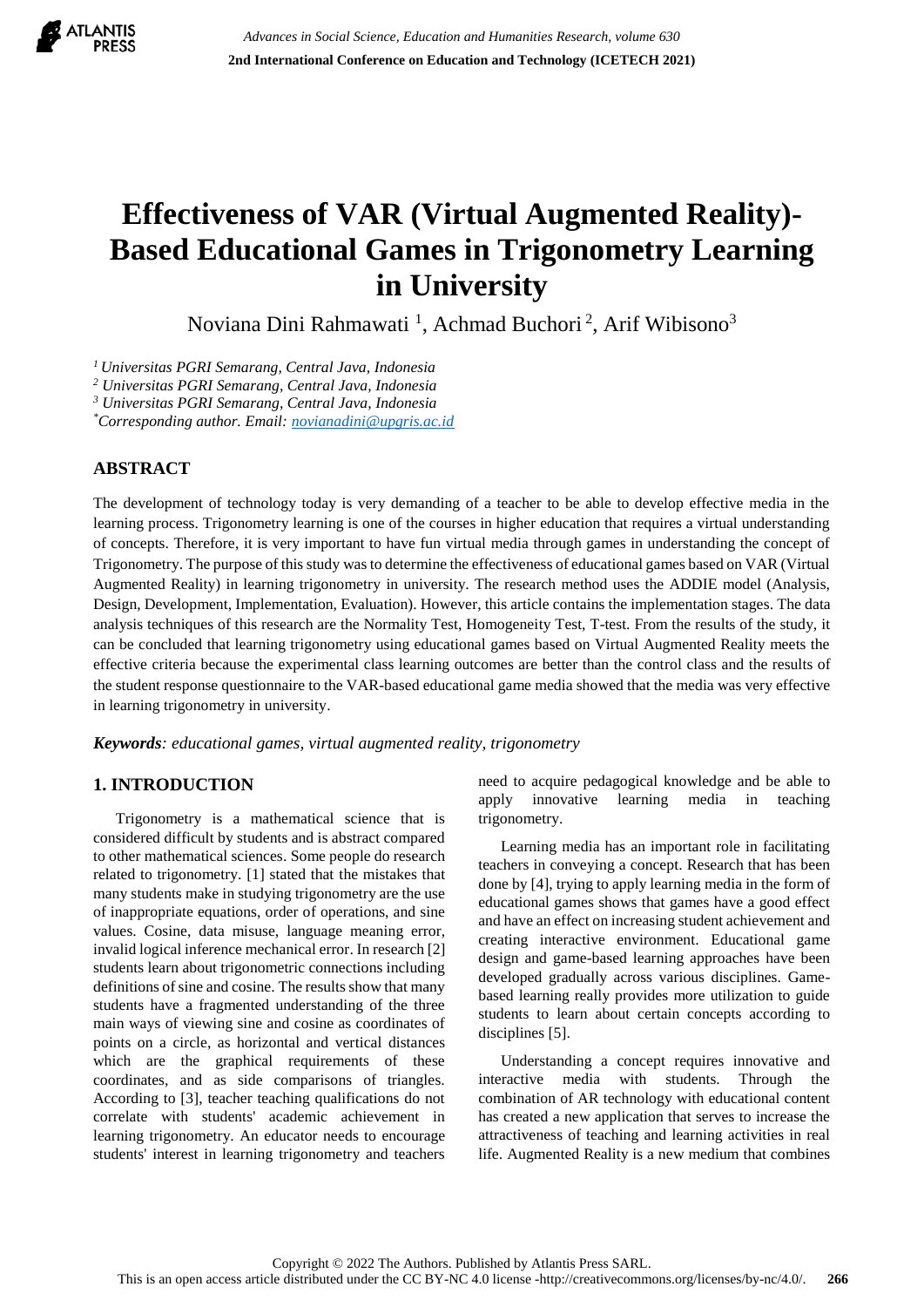

# **Effectiveness of VAR (Virtual Augmented Reality)- Based Educational Games in Trigonometry Learning in University**

Noviana Dini Rahmawati<sup>1</sup>, Achmad Buchori<sup>2</sup>, Arif Wibisono<sup>3</sup>

*<sup>1</sup>Universitas PGRI Semarang, Central Java, Indonesia*

*<sup>2</sup> Universitas PGRI Semarang, Central Java, Indonesia*

*<sup>3</sup> Universitas PGRI Semarang, Central Java, Indonesia*

*\*Corresponding author. Email: [novianadini@upgris.ac.id](mailto:novianadini@upgris.ac.id)*

# **ABSTRACT**

The development of technology today is very demanding of a teacher to be able to develop effective media in the learning process. Trigonometry learning is one of the courses in higher education that requires a virtual understanding of concepts. Therefore, it is very important to have fun virtual media through games in understanding the concept of Trigonometry. The purpose of this study was to determine the effectiveness of educational games based on VAR (Virtual Augmented Reality) in learning trigonometry in university. The research method uses the ADDIE model (Analysis, Design, Development, Implementation, Evaluation). However, this article contains the implementation stages. The data analysis techniques of this research are the Normality Test, Homogeneity Test, T-test. From the results of the study, it can be concluded that learning trigonometry using educational games based on Virtual Augmented Reality meets the effective criteria because the experimental class learning outcomes are better than the control class and the results of the student response questionnaire to the VAR-based educational game media showed that the media was very effective in learning trigonometry in university.

*Keywords: educational games, virtual augmented reality, trigonometry*

# **1. INTRODUCTION**

Trigonometry is a mathematical science that is considered difficult by students and is abstract compared to other mathematical sciences. Some people do research related to trigonometry. [1] stated that the mistakes that many students make in studying trigonometry are the use of inappropriate equations, order of operations, and sine values. Cosine, data misuse, language meaning error, invalid logical inference mechanical error. In research [2] students learn about trigonometric connections including definitions of sine and cosine. The results show that many students have a fragmented understanding of the three main ways of viewing sine and cosine as coordinates of points on a circle, as horizontal and vertical distances which are the graphical requirements of these coordinates, and as side comparisons of triangles. According to [3], teacher teaching qualifications do not correlate with students' academic achievement in learning trigonometry. An educator needs to encourage students' interest in learning trigonometry and teachers need to acquire pedagogical knowledge and be able to apply innovative learning media in teaching trigonometry.

Learning media has an important role in facilitating teachers in conveying a concept. Research that has been done by [4], trying to apply learning media in the form of educational games shows that games have a good effect and have an effect on increasing student achievement and creating interactive environment. Educational game design and game-based learning approaches have been developed gradually across various disciplines. Gamebased learning really provides more utilization to guide students to learn about certain concepts according to disciplines [5].

Understanding a concept requires innovative and interactive media with students. Through the combination of AR technology with educational content has created a new application that serves to increase the attractiveness of teaching and learning activities in real life. Augmented Reality is a new medium that combines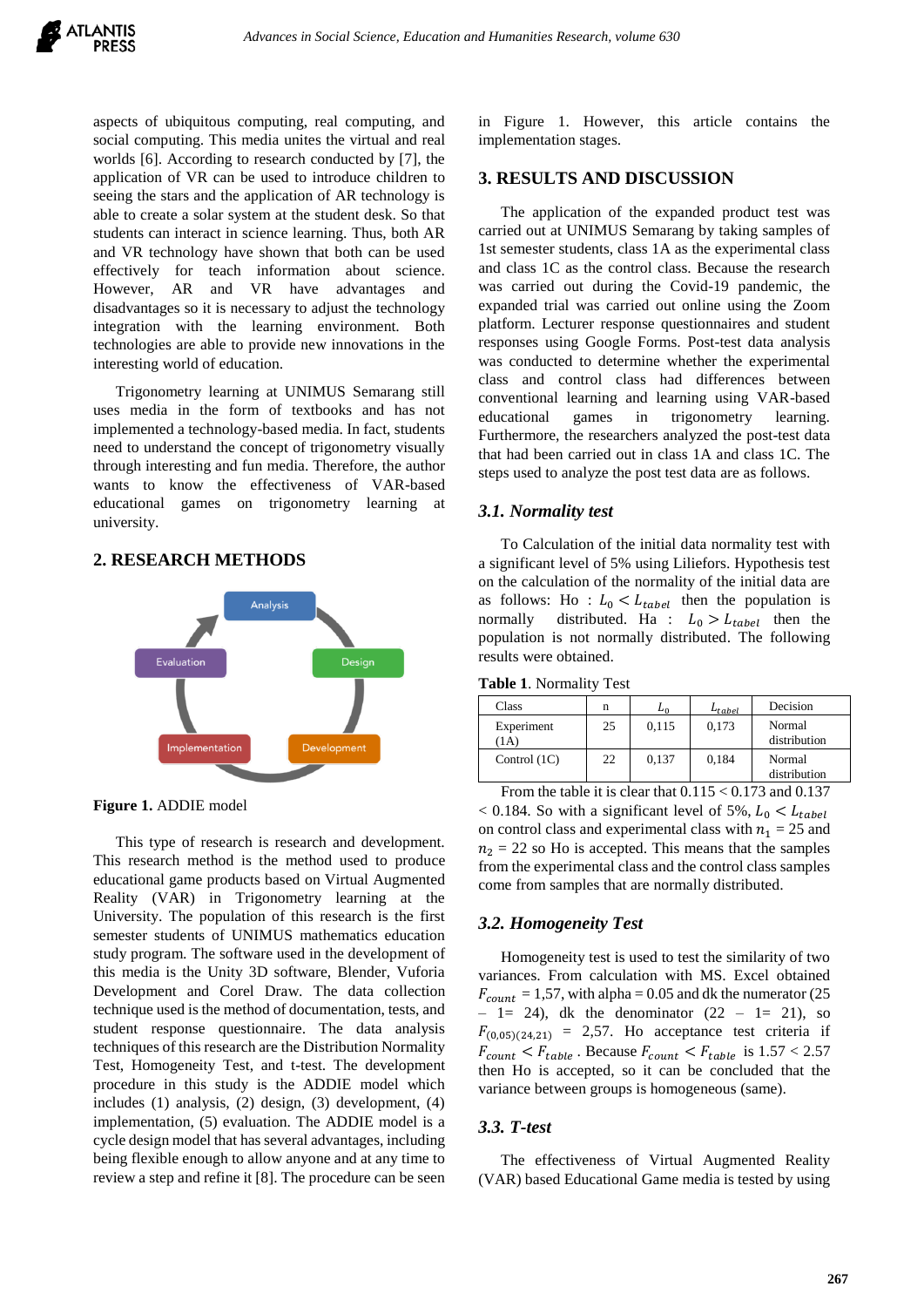aspects of ubiquitous computing, real computing, and social computing. This media unites the virtual and real worlds [6]. According to research conducted by [7], the application of VR can be used to introduce children to seeing the stars and the application of AR technology is able to create a solar system at the student desk. So that students can interact in science learning. Thus, both AR and VR technology have shown that both can be used effectively for teach information about science. However, AR and VR have advantages and disadvantages so it is necessary to adjust the technology integration with the learning environment. Both technologies are able to provide new innovations in the interesting world of education.

Trigonometry learning at UNIMUS Semarang still uses media in the form of textbooks and has not implemented a technology-based media. In fact, students need to understand the concept of trigonometry visually through interesting and fun media. Therefore, the author wants to know the effectiveness of VAR-based educational games on trigonometry learning at university.

## **2. RESEARCH METHODS**



**Figure 1.** ADDIE model

This type of research is research and development. This research method is the method used to produce educational game products based on Virtual Augmented Reality (VAR) in Trigonometry learning at the University. The population of this research is the first semester students of UNIMUS mathematics education study program. The software used in the development of this media is the Unity 3D software, Blender, Vuforia Development and Corel Draw. The data collection technique used is the method of documentation, tests, and student response questionnaire. The data analysis techniques of this research are the Distribution Normality Test, Homogeneity Test, and t-test. The development procedure in this study is the ADDIE model which includes (1) analysis, (2) design, (3) development, (4) implementation, (5) evaluation. The ADDIE model is a cycle design model that has several advantages, including being flexible enough to allow anyone and at any time to review a step and refine it [8]. The procedure can be seen in Figure 1. However, this article contains the implementation stages.

## **3. RESULTS AND DISCUSSION**

The application of the expanded product test was carried out at UNIMUS Semarang by taking samples of 1st semester students, class 1A as the experimental class and class 1C as the control class. Because the research was carried out during the Covid-19 pandemic, the expanded trial was carried out online using the Zoom platform. Lecturer response questionnaires and student responses using Google Forms. Post-test data analysis was conducted to determine whether the experimental class and control class had differences between conventional learning and learning using VAR-based educational games in trigonometry learning. Furthermore, the researchers analyzed the post-test data that had been carried out in class 1A and class 1C. The steps used to analyze the post test data are as follows.

#### *3.1. Normality test*

To Calculation of the initial data normality test with a significant level of 5% using Liliefors. Hypothesis test on the calculation of the normality of the initial data are as follows: Ho :  $L_0 < L_{table}$  then the population is normally distributed. Ha :  $L_0 > L_{table}$  then the distributed. Ha :  $L_0 > L_{table}$  then the population is not normally distributed. The following results were obtained.

**Table 1**. Normality Test

| Class                                    | n  | Ln    | $L_{table}$ | Decision               |
|------------------------------------------|----|-------|-------------|------------------------|
| Experiment<br>$\left(1\mathrm{A}\right)$ | 25 | 0,115 | 0,173       | Normal<br>distribution |
| Control $(1C)$                           | 22 | 0,137 | 0,184       | Normal<br>distribution |

From the table it is clear that  $0.115 < 0.173$  and  $0.137$ < 0.184. So with a significant level of 5%,  $L_0 < L_{table}$ on control class and experimental class with  $n_1 = 25$  and  $n_2 = 22$  so Ho is accepted. This means that the samples from the experimental class and the control class samples come from samples that are normally distributed.

#### *3.2. Homogeneity Test*

Homogeneity test is used to test the similarity of two variances. From calculation with MS. Excel obtained  $F_{count} = 1,57$ , with alpha = 0.05 and dk the numerator (25)  $-1=$  24), dk the denominator  $(22 - 1= 21)$ , so  $F_{(0,05)(24,21)} = 2,57$ . Ho acceptance test criteria if  $F_{count} < F_{table}$ . Because  $F_{count} < F_{table}$  is  $1.57 < 2.57$ then Ho is accepted, so it can be concluded that the variance between groups is homogeneous (same).

## *3.3. T-test*

The effectiveness of Virtual Augmented Reality (VAR) based Educational Game media is tested by using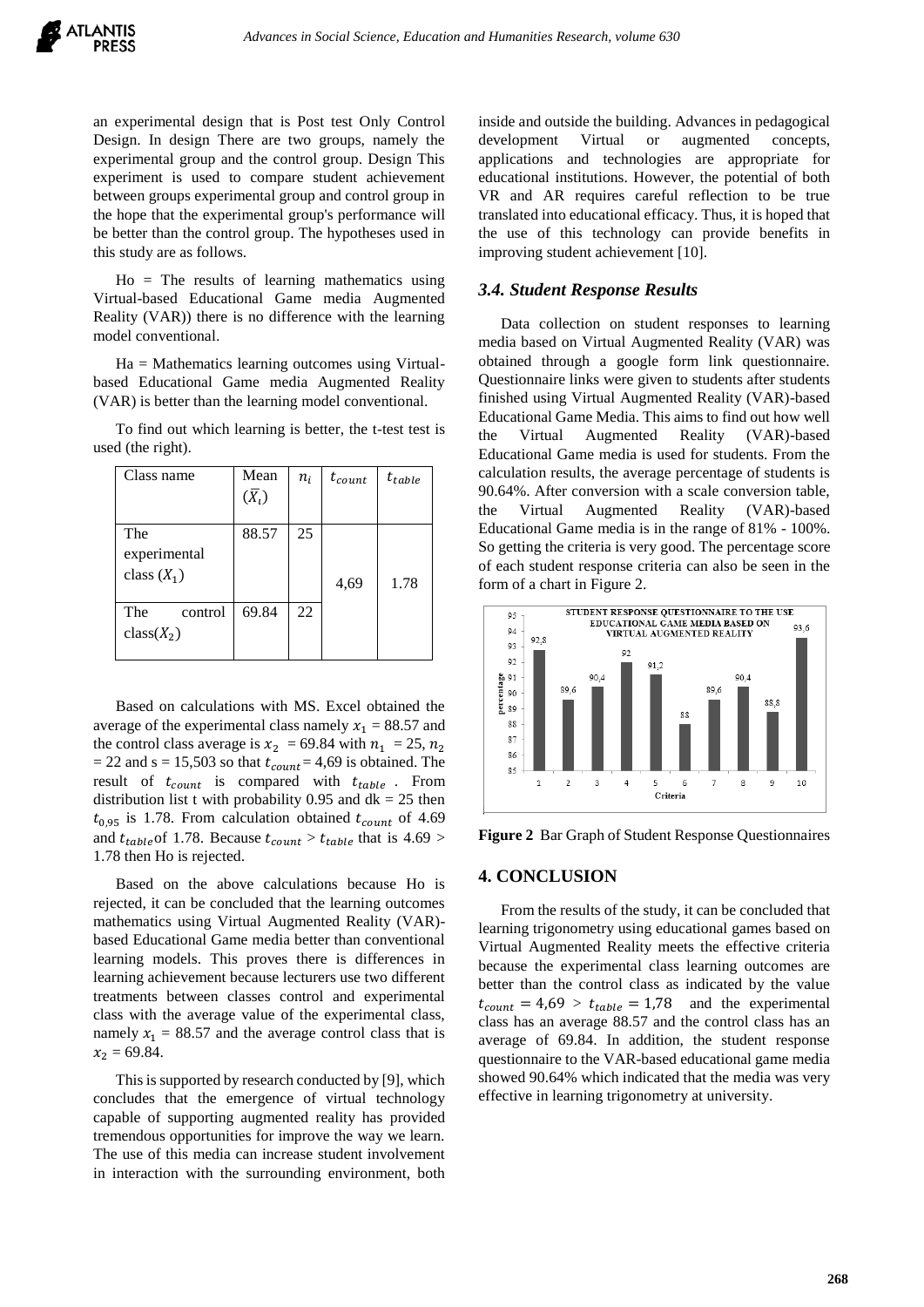an experimental design that is Post test Only Control Design. In design There are two groups, namely the experimental group and the control group. Design This experiment is used to compare student achievement between groups experimental group and control group in the hope that the experimental group's performance will be better than the control group. The hypotheses used in this study are as follows.

 $Ho = The results of learning mathematics using$ Virtual-based Educational Game media Augmented Reality (VAR)) there is no difference with the learning model conventional.

Ha = Mathematics learning outcomes using Virtualbased Educational Game media Augmented Reality (VAR) is better than the learning model conventional.

To find out which learning is better, the t-test test is used (the right).

| Class name                           | Mean<br>$(\bar{X}_l)$ | $n_i$ | $t_{count}$ | $t_{table}$ |
|--------------------------------------|-----------------------|-------|-------------|-------------|
| The<br>experimental<br>class $(X_1)$ | 88.57                 | 25    | 4,69        | 1.78        |
| The<br>control<br>$class(X_2)$       | 69.84                 | 22    |             |             |

Based on calculations with MS. Excel obtained the average of the experimental class namely  $x_1 = 88.57$  and the control class average is  $x_2 = 69.84$  with  $n_1 = 25$ ,  $n_2$  $= 22$  and s = 15,503 so that  $t_{count} = 4.69$  is obtained. The result of  $t_{count}$  is compared with  $t_{table}$ . From distribution list t with probability 0.95 and  $dk = 25$  then  $t_{0.95}$  is 1.78. From calculation obtained  $t_{count}$  of 4.69 and  $t_{table}$  of 1.78. Because  $t_{count} > t_{table}$  that is 4.69 > 1.78 then Ho is rejected.

Based on the above calculations because Ho is rejected, it can be concluded that the learning outcomes mathematics using Virtual Augmented Reality (VAR) based Educational Game media better than conventional learning models. This proves there is differences in learning achievement because lecturers use two different treatments between classes control and experimental class with the average value of the experimental class, namely  $x_1 = 88.57$  and the average control class that is  $x_2 = 69.84$ .

This is supported by research conducted by [9], which concludes that the emergence of virtual technology capable of supporting augmented reality has provided tremendous opportunities for improve the way we learn. The use of this media can increase student involvement in interaction with the surrounding environment, both

inside and outside the building. Advances in pedagogical development Virtual or augmented concepts, applications and technologies are appropriate for educational institutions. However, the potential of both VR and AR requires careful reflection to be true translated into educational efficacy. Thus, it is hoped that the use of this technology can provide benefits in improving student achievement [10].

#### *3.4. Student Response Results*

Data collection on student responses to learning media based on Virtual Augmented Reality (VAR) was obtained through a google form link questionnaire. Questionnaire links were given to students after students finished using Virtual Augmented Reality (VAR)-based Educational Game Media. This aims to find out how well the Virtual Augmented Reality (VAR)-based Educational Game media is used for students. From the calculation results, the average percentage of students is 90.64%. After conversion with a scale conversion table, the Virtual Augmented Reality (VAR)-based Educational Game media is in the range of 81% - 100%. So getting the criteria is very good. The percentage score of each student response criteria can also be seen in the form of a chart in Figure 2.



**Figure 2** Bar Graph of Student Response Questionnaires

## **4. CONCLUSION**

From the results of the study, it can be concluded that learning trigonometry using educational games based on Virtual Augmented Reality meets the effective criteria because the experimental class learning outcomes are better than the control class as indicated by the value  $t_{count} = 4.69 > t_{table} = 1.78$  and the experimental class has an average 88.57 and the control class has an average of 69.84. In addition, the student response questionnaire to the VAR-based educational game media showed 90.64% which indicated that the media was very effective in learning trigonometry at university.